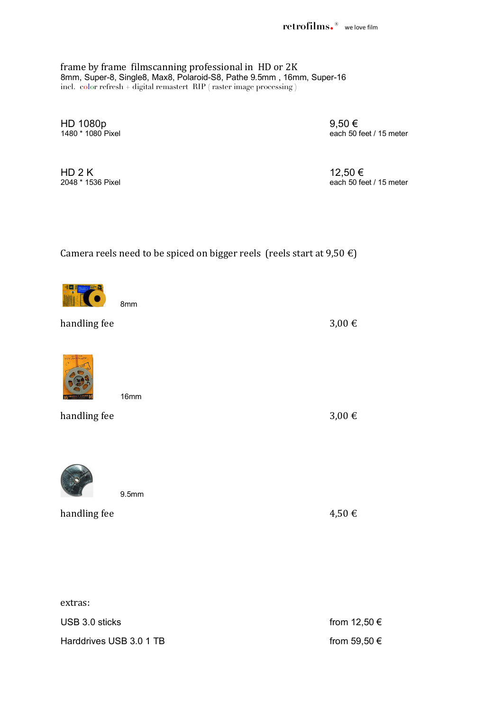**retrofilms.®** we love film

frame by frame filmscanning professional in HD or 2K 8mm, Super-8, Single8, Max8, Polaroid-S8, Pathe 9.5mm , 16mm, Super-16 incl. color refresh + digital remastert RIP ( raster image processing )

 $HD 1080p$  9,50 € 9,50 each 50 f

each 50 feet / 15 meter

HD 2 K 12,50  $\in$ 2048 \* 1536 Pixel each 50 feet / 15 meter

Camera reels need to be spiced on bigger reels (reels start at  $9.50 \in$ )

0

handling fee 3,00  $\in$ 

handling fee  $4.50 \in$ 

extras: USB 3.0 sticks from 12,50  $\in$ Harddrives USB 3.0 1 TB from 59,50  $\epsilon$ 



16mm



handling fee 3,00  $\in$ 

8mm

9.5mm